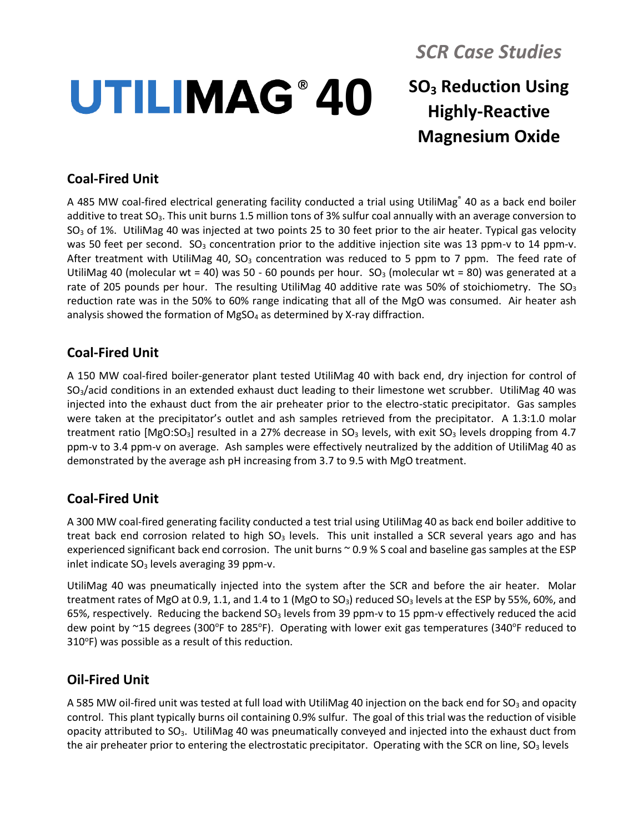# *SCR Case Studies*

## **SO<sup>3</sup> Reduction Using Highly-Reactive Magnesium Oxide UTILIMAG® 40**

### **Coal-Fired Unit**

A 485 MW coal-fired electrical generating facility conducted a trial using UtiliMag® 40 as a back end boiler additive to treat  $SO_3$ . This unit burns 1.5 million tons of 3% sulfur coal annually with an average conversion to  $SO<sub>3</sub>$  of 1%. UtiliMag 40 was injected at two points 25 to 30 feet prior to the air heater. Typical gas velocity was 50 feet per second.  $SO_3$  concentration prior to the additive injection site was 13 ppm-v to 14 ppm-v. After treatment with UtiliMag 40,  $SO_3$  concentration was reduced to 5 ppm to 7 ppm. The feed rate of UtiliMag 40 (molecular wt = 40) was 50 - 60 pounds per hour. SO<sub>3</sub> (molecular wt = 80) was generated at a rate of 205 pounds per hour. The resulting UtiliMag 40 additive rate was 50% of stoichiometry. The  $SO<sub>3</sub>$ reduction rate was in the 50% to 60% range indicating that all of the MgO was consumed. Air heater ash analysis showed the formation of MgSO<sub>4</sub> as determined by X-ray diffraction.

#### **Coal-Fired Unit**

A 150 MW coal-fired boiler-generator plant tested UtiliMag 40 with back end, dry injection for control of SO3/acid conditions in an extended exhaust duct leading to their limestone wet scrubber. UtiliMag 40 was injected into the exhaust duct from the air preheater prior to the electro-static precipitator. Gas samples were taken at the precipitator's outlet and ash samples retrieved from the precipitator. A 1.3:1.0 molar treatment ratio  $[MgO:SO<sub>3</sub>]$  resulted in a 27% decrease in  $SO<sub>3</sub>$  levels, with exit  $SO<sub>3</sub>$  levels dropping from 4.7 ppm-v to 3.4 ppm-v on average. Ash samples were effectively neutralized by the addition of UtiliMag 40 as demonstrated by the average ash pH increasing from 3.7 to 9.5 with MgO treatment.

#### **Coal-Fired Unit**

A 300 MW coal-fired generating facility conducted a test trial using UtiliMag 40 as back end boiler additive to treat back end corrosion related to high  $SO<sub>3</sub>$  levels. This unit installed a SCR several years ago and has experienced significant back end corrosion. The unit burns ~ 0.9 % S coal and baseline gas samples at the ESP inlet indicate  $SO<sub>3</sub>$  levels averaging 39 ppm-v.

UtiliMag 40 was pneumatically injected into the system after the SCR and before the air heater. Molar treatment rates of MgO at 0.9, 1.1, and 1.4 to 1 (MgO to SO<sub>3</sub>) reduced SO<sub>3</sub> levels at the ESP by 55%, 60%, and 65%, respectively. Reducing the backend  $SO<sub>3</sub>$  levels from 39 ppm-v to 15 ppm-v effectively reduced the acid dew point by  $\sim$ 15 degrees (300°F to 285°F). Operating with lower exit gas temperatures (340°F reduced to 310°F) was possible as a result of this reduction.

#### **Oil-Fired Unit**

A 585 MW oil-fired unit was tested at full load with UtiliMag 40 injection on the back end for SO<sub>3</sub> and opacity control. This plant typically burns oil containing 0.9% sulfur. The goal of this trial was the reduction of visible opacity attributed to  $SO_3$ . UtiliMag 40 was pneumatically conveyed and injected into the exhaust duct from the air preheater prior to entering the electrostatic precipitator. Operating with the SCR on line, SO<sub>3</sub> levels